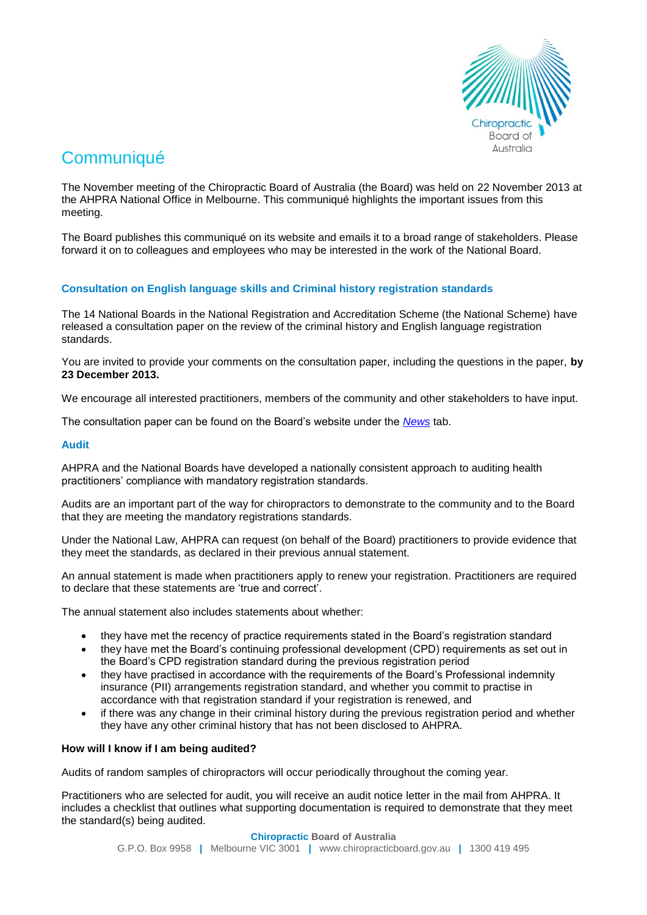

# **Communiqué**

The November meeting of the Chiropractic Board of Australia (the Board) was held on 22 November 2013 at the AHPRA National Office in Melbourne. This communiqué highlights the important issues from this meeting.

The Board publishes this communiqué on its website and emails it to a broad range of stakeholders. Please forward it on to colleagues and employees who may be interested in the work of the National Board.

## **Consultation on English language skills and Criminal history registration standards**

The 14 National Boards in the National Registration and Accreditation Scheme (the National Scheme) have released a consultation paper on the review of the criminal history and English language registration standards.

You are invited to provide your comments on the consultation paper, including the questions in the paper, **by 23 December 2013.** 

We encourage all interested practitioners, members of the community and other stakeholders to have input.

The consultation paper can be found on the Board's website under the *[News](http://www.chiropracticboard.gov.au/News.aspx)* tab.

## **Audit**

AHPRA and the National Boards have developed a nationally consistent approach to auditing health practitioners' compliance with mandatory registration standards.

Audits are an important part of the way for chiropractors to demonstrate to the community and to the Board that they are meeting the mandatory registrations standards.

Under the National Law, AHPRA can request (on behalf of the Board) practitioners to provide evidence that they meet the standards, as declared in their previous annual statement.

An annual statement is made when practitioners apply to renew your registration. Practitioners are required to declare that these statements are 'true and correct'.

The annual statement also includes statements about whether:

- they have met the recency of practice requirements stated in the Board's registration standard
- they have met the Board's continuing professional development (CPD) requirements as set out in the Board's CPD registration standard during the previous registration period
- they have practised in accordance with the requirements of the Board's Professional indemnity insurance (PII) arrangements registration standard, and whether you commit to practise in accordance with that registration standard if your registration is renewed, and
- if there was any change in their criminal history during the previous registration period and whether they have any other criminal history that has not been disclosed to AHPRA.

## **How will I know if I am being audited?**

Audits of random samples of chiropractors will occur periodically throughout the coming year.

Practitioners who are selected for audit, you will receive an audit notice letter in the mail from AHPRA. It includes a checklist that outlines what supporting documentation is required to demonstrate that they meet the standard(s) being audited.